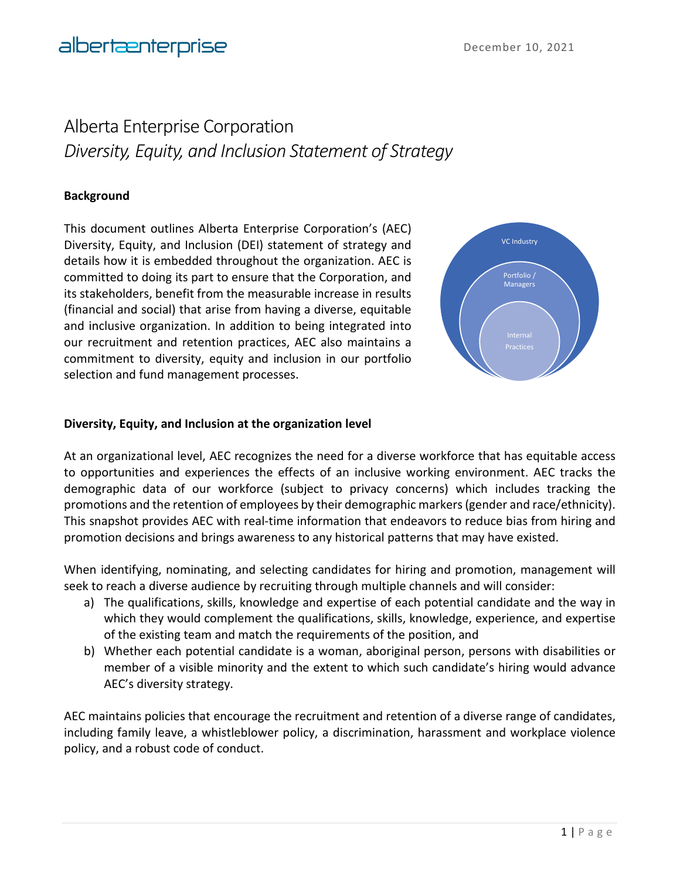# Alberta Enterprise Corporation *Diversity, Equity, and Inclusion Statement of Strategy*

# **Background**

This document outlines Alberta Enterprise Corporation's (AEC) Diversity, Equity, and Inclusion (DEI) statement of strategy and details how it is embedded throughout the organization. AEC is committed to doing its part to ensure that the Corporation, and its stakeholders, benefit from the measurable increase in results (financial and social) that arise from having a diverse, equitable and inclusive organization. In addition to being integrated into our recruitment and retention practices, AEC also maintains a commitment to diversity, equity and inclusion in our portfolio selection and fund management processes.



#### **Diversity, Equity, and Inclusion at the organization level**

At an organizational level, AEC recognizes the need for a diverse workforce that has equitable access to opportunities and experiences the effects of an inclusive working environment. AEC tracks the demographic data of our workforce (subject to privacy concerns) which includes tracking the promotions and the retention of employees by their demographic markers (gender and race/ethnicity). This snapshot provides AEC with real-time information that endeavors to reduce bias from hiring and promotion decisions and brings awareness to any historical patterns that may have existed.

When identifying, nominating, and selecting candidates for hiring and promotion, management will seek to reach a diverse audience by recruiting through multiple channels and will consider:

- a) The qualifications, skills, knowledge and expertise of each potential candidate and the way in which they would complement the qualifications, skills, knowledge, experience, and expertise of the existing team and match the requirements of the position, and
- b) Whether each potential candidate is a woman, aboriginal person, persons with disabilities or member of a visible minority and the extent to which such candidate's hiring would advance AEC's diversity strategy.

AEC maintains policies that encourage the recruitment and retention of a diverse range of candidates, including family leave, a whistleblower policy, a discrimination, harassment and workplace violence policy, and a robust code of conduct.